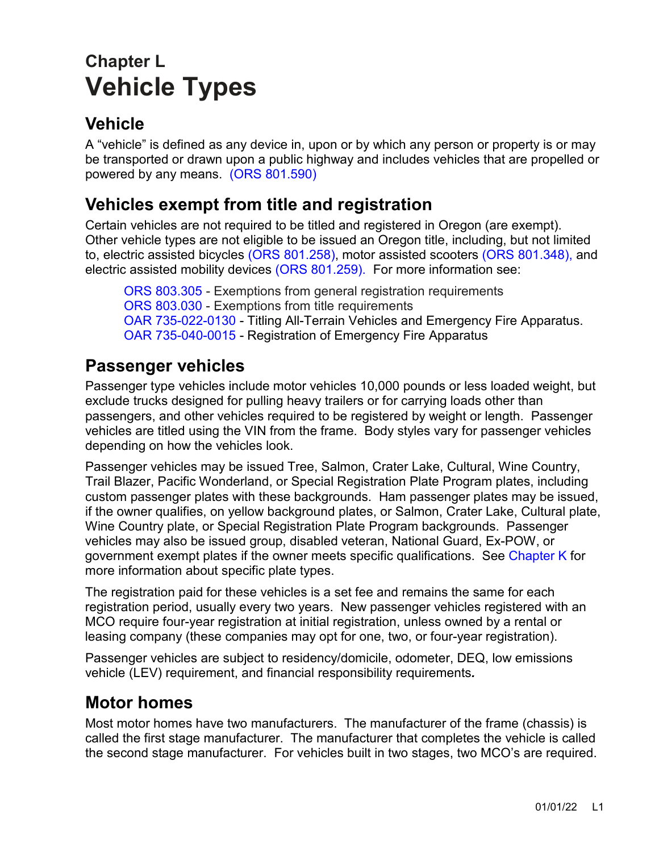# **Chapter L Vehicle Types**

# **Vehicle**

A "vehicle" is defined as any device in, upon or by which any person or property is or may be transported or drawn upon a public highway and includes vehicles that are propelled or powered by any means. [\(ORS 801.590\)](https://www.oregonlegislature.gov/bills_laws/ors/ors801.html)

# **Vehicles exempt from title and registration**

Certain vehicles are not required to be titled and registered in Oregon (are exempt). Other vehicle types are not eligible to be issued an Oregon title, including, but not limited to, electric assisted bicycles [\(ORS 801.258\),](https://www.oregonlegislature.gov/bills_laws/ors/ors801.html) motor assisted scooters [\(ORS 801.348\),](https://www.oregonlegislature.gov/bills_laws/ors/ors801.html) and electric assisted mobility devices [\(ORS 801.259\).](https://www.oregonlegislature.gov/bills_laws/ors/ors801.html) For more information see:

[ORS 803.305](https://www.oregonlegislature.gov/bills_laws/ors/ors803.html) - Exemptions from general registration requirements [ORS 803.030](https://www.oregonlegislature.gov/bills_laws/ors/ors803.html) - Exemptions from title requirements [OAR 735-022-0130](https://secure.sos.state.or.us/oard/viewSingleRule.action;JSESSIONID_OARD=03ljb1K2ITen-z-zF-Hv2aTq5VY_nsJYa1mcNoTuitZalz19ZYmJ!-330355351?ruleVrsnRsn=184967) - Titling All-Terrain Vehicles and Emergency Fire Apparatus. [OAR 735-040-0015](https://secure.sos.state.or.us/oard/viewSingleRule.action;JSESSIONID_OARD=IHxjcPSSO_UcOym0vxdjNheJslTZvuCn7NzSUNpxSFJCEzXBViO7!366662043?ruleVrsnRsn=235331) - Registration of Emergency Fire Apparatus

# **Passenger vehicles**

Passenger type vehicles include motor vehicles 10,000 pounds or less loaded weight, but exclude trucks designed for pulling heavy trailers or for carrying loads other than passengers, and other vehicles required to be registered by weight or length. Passenger vehicles are titled using the VIN from the frame. Body styles vary for passenger vehicles depending on how the vehicles look.

Passenger vehicles may be issued Tree, Salmon, Crater Lake, Cultural, Wine Country, Trail Blazer, Pacific Wonderland, or Special Registration Plate Program plates, including custom passenger plates with these backgrounds. Ham passenger plates may be issued, if the owner qualifies, on yellow background plates, or Salmon, Crater Lake, Cultural plate, Wine Country plate, or Special Registration Plate Program backgrounds. Passenger vehicles may also be issued group, disabled veteran, National Guard, Ex-POW, or government exempt plates if the owner meets specific qualifications. See [Chapter K](https://www.oregon.gov/ODOT/DMV/docs/VTRH/Chapter_K.pdf) for more information about specific plate types.

The registration paid for these vehicles is a set fee and remains the same for each registration period, usually every two years. New passenger vehicles registered with an MCO require four-year registration at initial registration, unless owned by a rental or leasing company (these companies may opt for one, two, or four-year registration).

Passenger vehicles are subject to residency/domicile, odometer, DEQ, low emissions vehicle (LEV) requirement, and financial responsibility requirements*.* 

# **Motor homes**

Most motor homes have two manufacturers. The manufacturer of the frame (chassis) is called the first stage manufacturer. The manufacturer that completes the vehicle is called the second stage manufacturer. For vehicles built in two stages, two MCO's are required.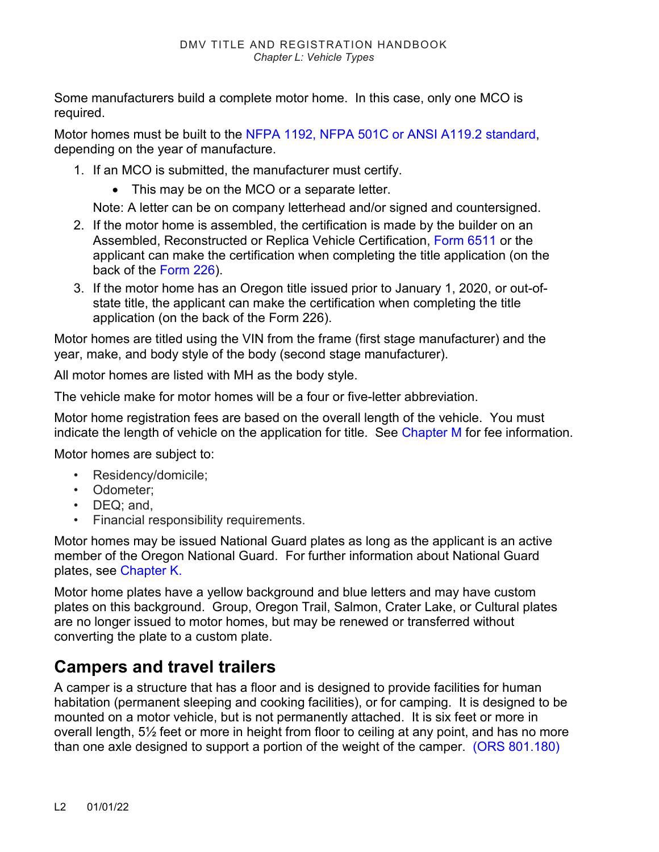Some manufacturers build a complete motor home. In this case, only one MCO is required.

Motor homes must be built to the NFPA 1192, NFPA 501C or ANSI A119.2 standard, depending on the year of manufacture.

- 1. If an MCO is submitted, the manufacturer must certify.
	- This may be on the MCO or a separate letter.

Note: A letter can be on company letterhead and/or signed and countersigned.

- 2. If the motor home is assembled, the certification is made by the builder on an Assembled, Reconstructed or Replica Vehicle Certification, [Form 6511](http://transnet.odot.state.or.us/cs/forms/DMV/6511fill.pdf) or the applicant can make the certification when completing the title application (on the back of the [Form 226\)](http://transnet.odot.state.or.us/cs/forms/dmv/226fill.pdf).
- 3. If the motor home has an Oregon title issued prior to January 1, 2020, or out-ofstate title, the applicant can make the certification when completing the title application (on the back of the Form 226).

Motor homes are titled using the VIN from the frame (first stage manufacturer) and the year, make, and body style of the body (second stage manufacturer).

All motor homes are listed with MH as the body style.

The vehicle make for motor homes will be a four or five-letter abbreviation.

Motor home registration fees are based on the overall length of the vehicle. You must indicate the length of vehicle on the application for title. See [Chapter M](https://www.oregon.gov/ODOT/DMV/docs/VTRH/Chapter_M.pdf) for fee information.

Motor homes are subject to:

- Residency/domicile;
- Odometer;
- DEQ; and,
- Financial responsibility requirements.

Motor homes may be issued National Guard plates as long as the applicant is an active member of the Oregon National Guard. For further information about National Guard plates, see [Chapter K.](https://www.oregon.gov/ODOT/DMV/docs/VTRH/Chapter_K.pdf)

Motor home plates have a yellow background and blue letters and may have custom plates on this background. Group, Oregon Trail, Salmon, Crater Lake, or Cultural plates are no longer issued to motor homes, but may be renewed or transferred without converting the plate to a custom plate.

### **Campers and travel trailers**

A camper is a structure that has a floor and is designed to provide facilities for human habitation (permanent sleeping and cooking facilities), or for camping. It is designed to be mounted on a motor vehicle, but is not permanently attached. It is six feet or more in overall length, 5½ feet or more in height from floor to ceiling at any point, and has no more than one axle designed to support a portion of the weight of the camper. [\(ORS 801.180\)](https://www.oregonlegislature.gov/bills_laws/ors/ors801.html)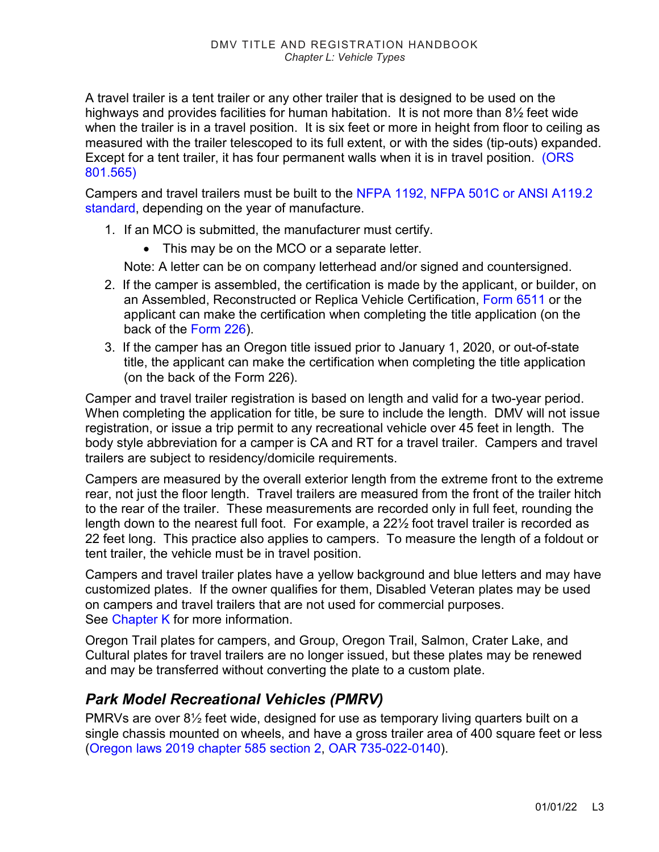A travel trailer is a tent trailer or any other trailer that is designed to be used on the highways and provides facilities for human habitation. It is not more than 8½ feet wide when the trailer is in a travel position. It is six feet or more in height from floor to ceiling as measured with the trailer telescoped to its full extent, or with the sides (tip-outs) expanded. Except for a tent trailer, it has four permanent walls when it is in travel position. (ORS [801.565\)](https://www.oregonlegislature.gov/bills_laws/ors/ors801.html)

Campers and travel trailers must be built to the NFPA 1192, NFPA 501C or ANSI A119.2 standard, depending on the year of manufacture.

- 1. If an MCO is submitted, the manufacturer must certify.
	- This may be on the MCO or a separate letter.

Note: A letter can be on company letterhead and/or signed and countersigned.

- 2. If the camper is assembled, the certification is made by the applicant, or builder, on an Assembled, Reconstructed or Replica Vehicle Certification, [Form 6511](http://transnet.odot.state.or.us/cs/forms/DMV/6511fill.pdf) or the applicant can make the certification when completing the title application (on the back of the [Form 226\)](http://transnet.odot.state.or.us/cs/forms/dmv/226fill.pdf).
- 3. If the camper has an Oregon title issued prior to January 1, 2020, or out-of-state title, the applicant can make the certification when completing the title application (on the back of the Form 226).

Camper and travel trailer registration is based on length and valid for a two-year period. When completing the application for title, be sure to include the length. DMV will not issue registration, or issue a trip permit to any recreational vehicle over 45 feet in length. The body style abbreviation for a camper is CA and RT for a travel trailer. Campers and travel trailers are subject to residency/domicile requirements.

Campers are measured by the overall exterior length from the extreme front to the extreme rear, not just the floor length. Travel trailers are measured from the front of the trailer hitch to the rear of the trailer. These measurements are recorded only in full feet, rounding the length down to the nearest full foot. For example, a 22½ foot travel trailer is recorded as 22 feet long. This practice also applies to campers. To measure the length of a foldout or tent trailer, the vehicle must be in travel position.

Campers and travel trailer plates have a yellow background and blue letters and may have customized plates. If the owner qualifies for them, Disabled Veteran plates may be used on campers and travel trailers that are not used for commercial purposes. See [Chapter K](https://www.oregon.gov/ODOT/DMV/docs/VTRH/Chapter_K.pdf) for more information.

Oregon Trail plates for campers, and Group, Oregon Trail, Salmon, Crater Lake, and Cultural plates for travel trailers are no longer issued, but these plates may be renewed and may be transferred without converting the plate to a custom plate.

#### *Park Model Recreational Vehicles (PMRV)*

PMRVs are over 8½ feet wide, designed for use as temporary living quarters built on a single chassis mounted on wheels, and have a gross trailer area of 400 square feet or less [\(Oregon laws 2019 chapter 585 section 2,](https://www.oregonlegislature.gov/bills_laws/lawsstatutes/2019orlaw0585.pdf) [OAR 735-022-0140\)](https://secure.sos.state.or.us/oard/displayDivisionRules.action?selectedDivision=3348).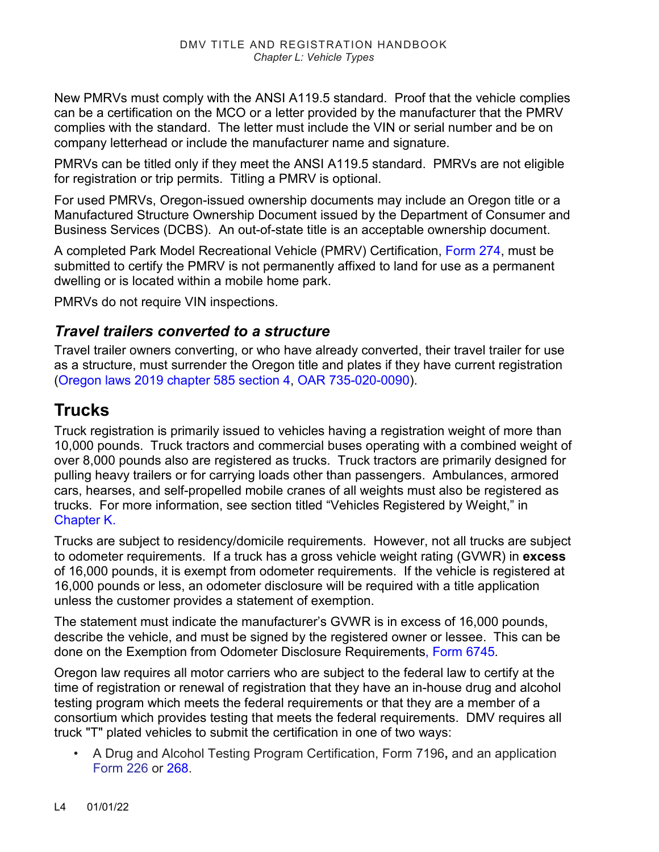New PMRVs must comply with the ANSI A119.5 standard. Proof that the vehicle complies can be a certification on the MCO or a letter provided by the manufacturer that the PMRV complies with the standard. The letter must include the VIN or serial number and be on company letterhead or include the manufacturer name and signature.

PMRVs can be titled only if they meet the ANSI A119.5 standard. PMRVs are not eligible for registration or trip permits. Titling a PMRV is optional.

For used PMRVs, Oregon-issued ownership documents may include an Oregon title or a Manufactured Structure Ownership Document issued by the Department of Consumer and Business Services (DCBS). An out-of-state title is an acceptable ownership document.

A completed Park Model Recreational Vehicle (PMRV) Certification, [Form 274,](http://transnet.odot.state.or.us/cs/forms/DMV/274fill.pdf) must be submitted to certify the PMRV is not permanently affixed to land for use as a permanent dwelling or is located within a mobile home park.

PMRVs do not require VIN inspections.

#### *Travel trailers converted to a structure*

Travel trailer owners converting, or who have already converted, their travel trailer for use as a structure, must surrender the Oregon title and plates if they have current registration [\(Oregon laws 2019 chapter 585 section 4,](https://www.oregonlegislature.gov/bills_laws/lawsstatutes/2019orlaw0585.pdf) [OAR 735-020-0090\)](https://secure.sos.state.or.us/oard/displayDivisionRules.action?selectedDivision=3347).

### **Trucks**

Truck registration is primarily issued to vehicles having a registration weight of more than 10,000 pounds. Truck tractors and commercial buses operating with a combined weight of over 8,000 pounds also are registered as trucks. Truck tractors are primarily designed for pulling heavy trailers or for carrying loads other than passengers. Ambulances, armored cars, hearses, and self-propelled mobile cranes of all weights must also be registered as trucks. For more information, see section titled "Vehicles Registered by Weight," in [Chapter K.](https://www.oregon.gov/ODOT/DMV/docs/VTRH/Chapter_K.pdf)

Trucks are subject to residency/domicile requirements. However, not all trucks are subject to odometer requirements. If a truck has a gross vehicle weight rating (GVWR) in **excess** of 16,000 pounds, it is exempt from odometer requirements. If the vehicle is registered at 16,000 pounds or less, an odometer disclosure will be required with a title application unless the customer provides a statement of exemption.

The statement must indicate the manufacturer's GVWR is in excess of 16,000 pounds, describe the vehicle, and must be signed by the registered owner or lessee. This can be done on the Exemption from Odometer Disclosure Requirements, [Form 6745](https://www.odot.state.or.us/forms/dmv/6745.pdf)*.* 

Oregon law requires all motor carriers who are subject to the federal law to certify at the time of registration or renewal of registration that they have an in-house drug and alcohol testing program which meets the federal requirements or that they are a member of a consortium which provides testing that meets the federal requirements. DMV requires all truck "T" plated vehicles to submit the certification in one of two ways:

• A Drug and Alcohol Testing Program Certification, Form 7196**,** and an application [Form 226 o](https://www.odot.state.or.us/forms/dmv/226fill.pdf)r [268.](https://www.odot.state.or.us/forms/dmv/268fill.pdf)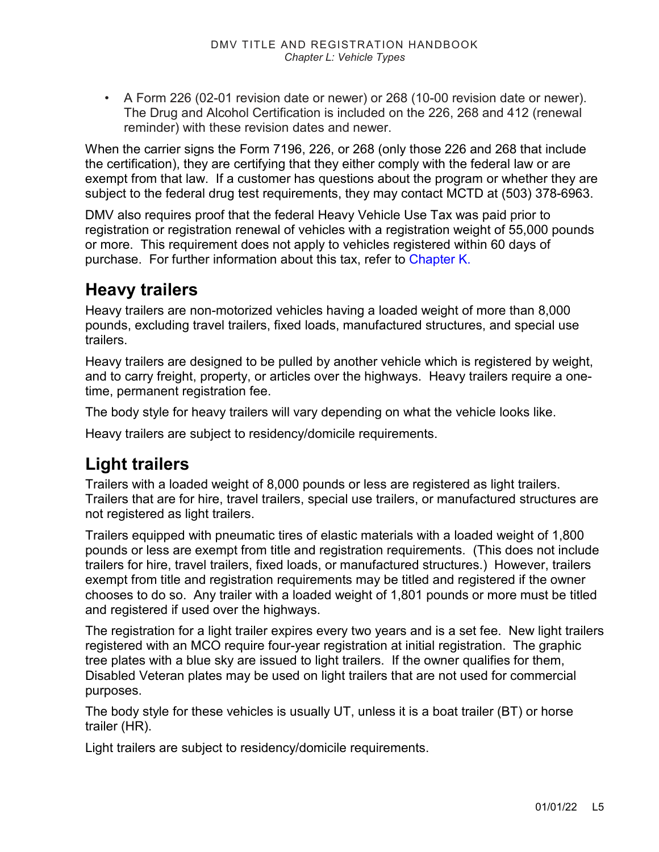• A Form 226 (02-01 revision date or newer) or [268](http://www.odot.state.or.us/forms/dmv/268.pdf) (10-00 revision date or newer). The Drug and Alcohol Certification is included on the 226, 268 and 412 (renewal reminder) with these revision dates and newer.

When the carrier signs the Form 7196, 226, or 268 (only those 226 and 268 that include the certification), they are certifying that they either comply with the federal law or are exempt from that law. If a customer has questions about the program or whether they are subject to the federal drug test requirements, they may contact MCTD at (503) 378-6963.

DMV also requires proof that the federal Heavy Vehicle Use Tax was paid prior to registration or registration renewal of vehicles with a registration weight of 55,000 pounds or more. This requirement does not apply to vehicles registered within 60 days of purchase. For further information about this tax, refer to [Chapter K.](https://www.oregon.gov/ODOT/DMV/docs/VTRH/Chapter_K.pdf)

### **Heavy trailers**

Heavy trailers are non-motorized vehicles having a loaded weight of more than 8,000 pounds, excluding travel trailers, fixed loads, manufactured structures, and special use trailers.

Heavy trailers are designed to be pulled by another vehicle which is registered by weight, and to carry freight, property, or articles over the highways. Heavy trailers require a onetime, permanent registration fee.

The body style for heavy trailers will vary depending on what the vehicle looks like.

Heavy trailers are subject to residency/domicile requirements.

### **Light trailers**

Trailers with a loaded weight of 8,000 pounds or less are registered as light trailers. Trailers that are for hire, travel trailers, special use trailers, or manufactured structures are not registered as light trailers.

Trailers equipped with pneumatic tires of elastic materials with a loaded weight of 1,800 pounds or less are exempt from title and registration requirements. (This does not include trailers for hire, travel trailers, fixed loads, or manufactured structures.) However, trailers exempt from title and registration requirements may be titled and registered if the owner chooses to do so. Any trailer with a loaded weight of 1,801 pounds or more must be titled and registered if used over the highways.

The registration for a light trailer expires every two years and is a set fee. New light trailers registered with an MCO require four-year registration at initial registration. The graphic tree plates with a blue sky are issued to light trailers. If the owner qualifies for them, Disabled Veteran plates may be used on light trailers that are not used for commercial purposes.

The body style for these vehicles is usually UT, unless it is a boat trailer (BT) or horse trailer (HR).

Light trailers are subject to residency/domicile requirements.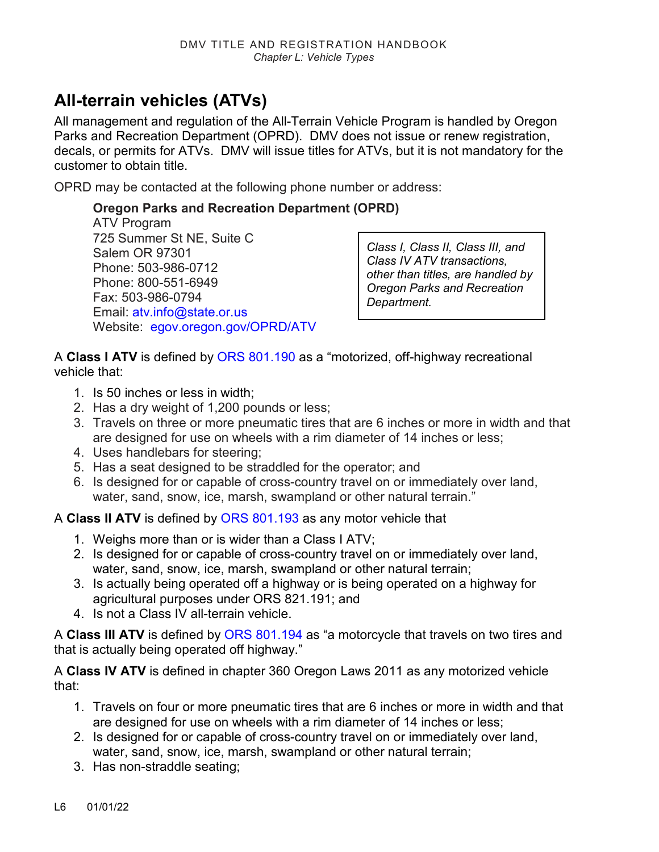# **All-terrain vehicles (ATVs)**

All management and regulation of the All-Terrain Vehicle Program is handled by Oregon Parks and Recreation Department (OPRD). DMV does not issue or renew registration, decals, or permits for ATVs. DMV will issue titles for ATVs, but it is not mandatory for the customer to obtain title.

OPRD may be contacted at the following phone number or address:

#### **Oregon Parks and Recreation Department (OPRD)**

ATV Program 725 Summer St NE, Suite C Salem OR 97301 Phone: 503-986-0712 Phone: 800-551-6949 Fax: 503-986-0794 Email: [atv.info@state.or.us](mailto:atv.info@state.or.us) Website: [egov.oregon.gov/OPRD/ATV](http://egov.oregon.gov/OPRD/ATV/)

*Class I, Class II, Class III, and Class IV ATV transactions, other than titles, are handled by Oregon Parks and Recreation Department.*

A **Class I ATV** is defined by [ORS 801.190](https://www.oregonlegislature.gov/bills_laws/ors/ors801.html) as a "motorized, off-highway recreational vehicle that:

- 1. Is 50 inches or less in width;
- 2. Has a dry weight of 1,200 pounds or less;
- 3. Travels on three or more pneumatic tires that are 6 inches or more in width and that are designed for use on wheels with a rim diameter of 14 inches or less;
- 4. Uses handlebars for steering;
- 5. Has a seat designed to be straddled for the operator; and
- 6. Is designed for or capable of cross-country travel on or immediately over land, water, sand, snow, ice, marsh, swampland or other natural terrain."

A **Class II ATV** is defined by [ORS 801.193](https://www.oregonlegislature.gov/bills_laws/ors/ors801.html) as any motor vehicle that

- 1. Weighs more than or is wider than a Class I ATV;
- 2. Is designed for or capable of cross-country travel on or immediately over land, water, sand, snow, ice, marsh, swampland or other natural terrain;
- 3. Is actually being operated off a highway or is being operated on a highway for agricultural purposes under ORS 821.191; and
- 4. Is not a Class IV all-terrain vehicle.

A **Class III ATV** is defined by [ORS 801.194](https://www.oregonlegislature.gov/bills_laws/ors/ors801.html) as "a motorcycle that travels on two tires and that is actually being operated off highway."

A **Class IV ATV** is defined in chapter 360 Oregon Laws 2011 as any motorized vehicle that:

- 1. Travels on four or more pneumatic tires that are 6 inches or more in width and that are designed for use on wheels with a rim diameter of 14 inches or less;
- 2. Is designed for or capable of cross-country travel on or immediately over land, water, sand, snow, ice, marsh, swampland or other natural terrain:
- 3. Has non-straddle seating;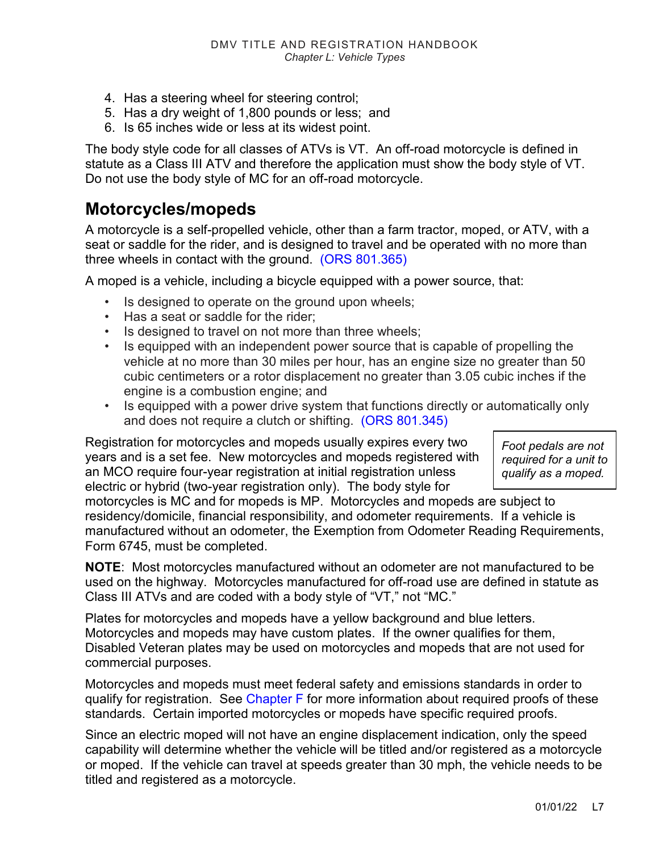- 4. Has a steering wheel for steering control;
- 5. Has a dry weight of 1,800 pounds or less; and
- 6. Is 65 inches wide or less at its widest point.

The body style code for all classes of ATVs is VT. An off-road motorcycle is defined in statute as a Class III ATV and therefore the application must show the body style of VT. Do not use the body style of MC for an off-road motorcycle.

### **Motorcycles/mopeds**

A motorcycle is a self-propelled vehicle, other than a farm tractor, moped, or ATV, with a seat or saddle for the rider, and is designed to travel and be operated with no more than three wheels in contact with the ground. [\(ORS 801.365\)](https://www.oregonlegislature.gov/bills_laws/ors/ors801.html)

A moped is a vehicle, including a bicycle equipped with a power source, that:

- Is designed to operate on the ground upon wheels;
- Has a seat or saddle for the rider;
- Is designed to travel on not more than three wheels;
- Is equipped with an independent power source that is capable of propelling the vehicle at no more than 30 miles per hour, has an engine size no greater than 50 cubic centimeters or a rotor displacement no greater than 3.05 cubic inches if the engine is a combustion engine; and
- Is equipped with a power drive system that functions directly or automatically only and does not require a clutch or shifting. [\(ORS 801.345\)](https://www.oregonlegislature.gov/bills_laws/ors/ors801.html)

Registration for motorcycles and mopeds usually expires every two years and is a set fee. New motorcycles and mopeds registered with an MCO require four-year registration at initial registration unless electric or hybrid (two-year registration only). The body style for

*Foot pedals are not required for a unit to qualify as a moped.*

motorcycles is MC and for mopeds is MP. Motorcycles and mopeds are subject to residency/domicile, financial responsibility, and odometer requirements. If a vehicle is manufactured without an odometer, the Exemption from Odometer Reading Requirements, [Form 6745,](http://www.odot.state.or.us/forms/dmv/6745.pdf) must be completed.

**NOTE**: Most motorcycles manufactured without an odometer are not manufactured to be used on the highway. Motorcycles manufactured for off-road use are defined in statute as Class III ATVs and are coded with a body style of "VT," not "MC."

Plates for motorcycles and mopeds have a yellow background and blue letters. Motorcycles and mopeds may have custom plates. If the owner qualifies for them, Disabled Veteran plates may be used on motorcycles and mopeds that are not used for commercial purposes.

Motorcycles and mopeds must meet federal safety and emissions standards in order to qualify for registration. See [Chapter F](https://www.oregon.gov/ODOT/DMV/docs/VTRH/Chapter_F.pdf) for more information about required proofs of these standards. Certain imported motorcycles or mopeds have specific required proofs.

Since an electric moped will not have an engine displacement indication, only the speed capability will determine whether the vehicle will be titled and/or registered as a motorcycle or moped. If the vehicle can travel at speeds greater than 30 mph, the vehicle needs to be titled and registered as a motorcycle.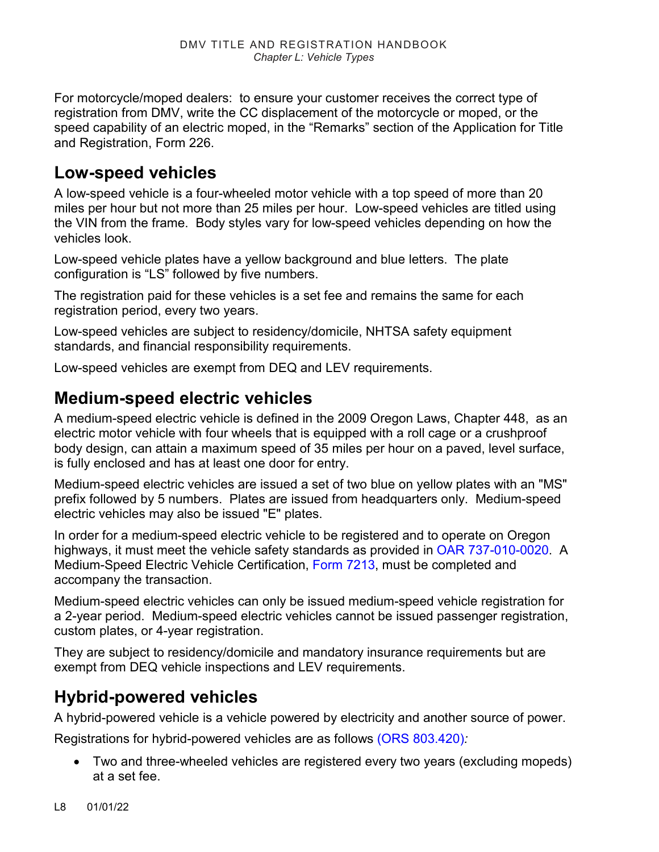For motorcycle/moped dealers: to ensure your customer receives the correct type of registration from DMV, write the CC displacement of the motorcycle or moped, or the speed capability of an electric moped, in the "Remarks" section of the Application for Title and Registration, Form 226.

### **Low-speed vehicles**

A low-speed vehicle is a four-wheeled motor vehicle with a top speed of more than 20 miles per hour but not more than 25 miles per hour. Low-speed vehicles are titled using the VIN from the frame. Body styles vary for low-speed vehicles depending on how the vehicles look.

Low-speed vehicle plates have a yellow background and blue letters. The plate configuration is "LS" followed by five numbers.

The registration paid for these vehicles is a set fee and remains the same for each registration period, every two years.

Low-speed vehicles are subject to residency/domicile, NHTSA safety equipment standards, and financial responsibility requirements.

Low-speed vehicles are exempt from DEQ and LEV requirements.

# **Medium-speed electric vehicles**

A medium-speed electric vehicle is defined in the 2009 Oregon Laws, Chapter 448, as an electric motor vehicle with four wheels that is equipped with a roll cage or a crushproof body design, can attain a maximum speed of 35 miles per hour on a paved, level surface, is fully enclosed and has at least one door for entry.

Medium-speed electric vehicles are issued a set of two blue on yellow plates with an "MS" prefix followed by 5 numbers. Plates are issued from headquarters only. Medium-speed electric vehicles may also be issued "E" plates.

In order for a medium-speed electric vehicle to be registered and to operate on Oregon highways, it must meet the vehicle safety standards as provided in [OAR 737-010-0020.](https://secure.sos.state.or.us/oard/viewSingleRule.action;JSESSIONID_OARD=NEZjnXQ16WRL1jiQyRAesJdPhn9A-yX3Yh4Xp_UIbfj5XKkt8PLy!366662043?ruleVrsnRsn=189030) A Medium-Speed Electric Vehicle Certification, [Form 7213,](https://www.odot.state.or.us/forms/dmv/7213.pdf) must be completed and accompany the transaction.

Medium-speed electric vehicles can only be issued medium-speed vehicle registration for a 2-year period. Medium-speed electric vehicles cannot be issued passenger registration, custom plates, or 4-year registration.

They are subject to residency/domicile and mandatory insurance requirements but are exempt from DEQ vehicle inspections and LEV requirements.

### **Hybrid-powered vehicles**

A hybrid-powered vehicle is a vehicle powered by electricity and another source of power.

Registrations for hybrid-powered vehicles are as follows [\(ORS 803.420\)](https://www.oregonlegislature.gov/bills_laws/ors/ors803.html)*:* 

• Two and three-wheeled vehicles are registered every two years (excluding mopeds) at a set fee.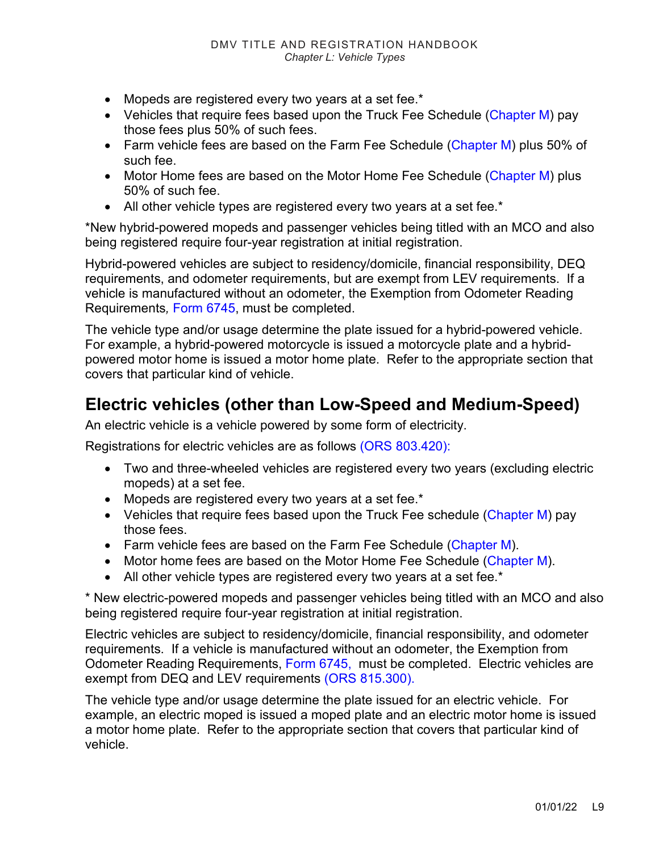- Mopeds are registered every two years at a set fee.\*
- Vehicles that require fees based upon the Truck Fee Schedule [\(Chapter M\)](https://www.oregon.gov/ODOT/DMV/docs/VTRH/Chapter_M.pdf) pay those fees plus 50% of such fees.
- Farm vehicle fees are based on the Farm Fee Schedule [\(Chapter M\)](https://www.oregon.gov/ODOT/DMV/docs/VTRH/Chapter_M.pdf) plus 50% of such fee.
- Motor Home fees are based on the Motor Home Fee Schedule [\(Chapter M\)](https://www.oregon.gov/ODOT/DMV/docs/VTRH/Chapter_M.pdf) plus 50% of such fee.
- All other vehicle types are registered every two years at a set fee.\*

\*New hybrid-powered mopeds and passenger vehicles being titled with an MCO and also being registered require four-year registration at initial registration.

Hybrid-powered vehicles are subject to residency/domicile, financial responsibility, DEQ requirements, and odometer requirements, but are exempt from LEV requirements. If a vehicle is manufactured without an odometer, the Exemption from Odometer Reading Requirements*,* [Form 6745,](https://www.odot.state.or.us/forms/dmv/6745.pdf) must be completed.

The vehicle type and/or usage determine the plate issued for a hybrid-powered vehicle. For example, a hybrid-powered motorcycle is issued a motorcycle plate and a hybridpowered motor home is issued a motor home plate. Refer to the appropriate section that covers that particular kind of vehicle.

# **Electric vehicles (other than Low-Speed and Medium-Speed)**

An electric vehicle is a vehicle powered by some form of electricity.

Registrations for electric vehicles are as follows [\(ORS 803.420\)](https://www.oregonlegislature.gov/bills_laws/ors/ors803.html):

- Two and three-wheeled vehicles are registered every two years (excluding electric mopeds) at a set fee.
- Mopeds are registered every two years at a set fee.\*
- Vehicles that require fees based upon the Truck Fee schedule [\(Chapter M\)](https://www.oregon.gov/ODOT/DMV/docs/VTRH/Chapter_M.pdf) pay those fees.
- Farm vehicle fees are based on the Farm Fee Schedule [\(Chapter M\)](https://www.oregon.gov/ODOT/DMV/docs/VTRH/Chapter_M.pdf).
- Motor home fees are based on the Motor Home Fee Schedule [\(Chapter M\)](https://www.oregon.gov/ODOT/DMV/docs/VTRH/Chapter_M.pdf).
- All other vehicle types are registered every two years at a set fee.\*

\* New electric-powered mopeds and passenger vehicles being titled with an MCO and also being registered require four-year registration at initial registration.

Electric vehicles are subject to residency/domicile, financial responsibility, and odometer requirements. If a vehicle is manufactured without an odometer, the Exemption from Odometer Reading Requirements, [Form 6745,](https://www.odot.state.or.us/forms/dmv/6745.pdf) must be completed. Electric vehicles are exempt from DEQ and LEV requirements [\(ORS 815.300\).](https://www.oregonlegislature.gov/bills_laws/ors/ors815.html)

The vehicle type and/or usage determine the plate issued for an electric vehicle. For example, an electric moped is issued a moped plate and an electric motor home is issued a motor home plate. Refer to the appropriate section that covers that particular kind of vehicle.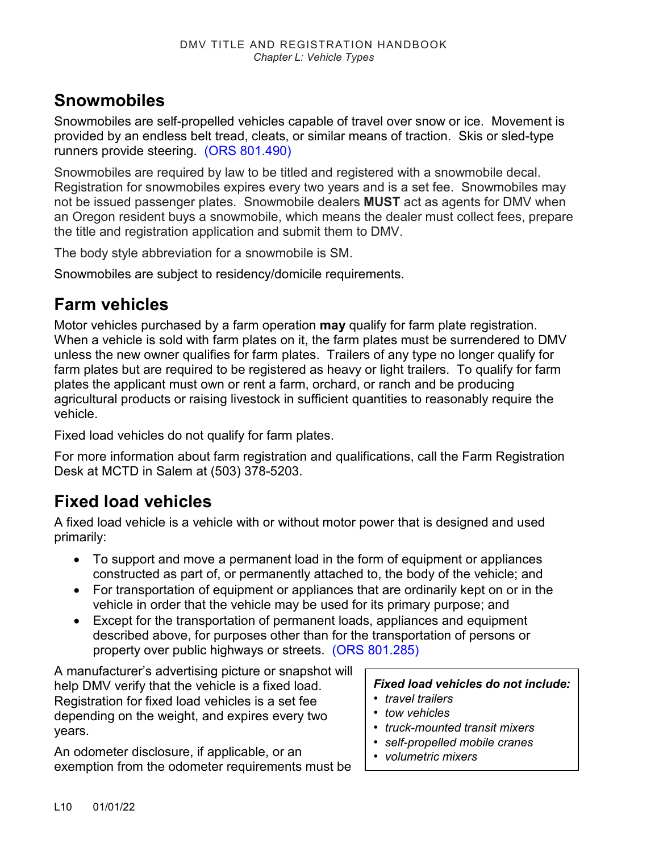# **Snowmobiles**

Snowmobiles are self-propelled vehicles capable of travel over snow or ice. Movement is provided by an endless belt tread, cleats, or similar means of traction. Skis or sled-type runners provide steering. [\(ORS 801.490\)](https://www.oregonlegislature.gov/bills_laws/ors/ors801.html)

Snowmobiles are required by law to be titled and registered with a snowmobile decal. Registration for snowmobiles expires every two years and is a set fee. Snowmobiles may not be issued passenger plates. Snowmobile dealers **MUST** act as agents for DMV when an Oregon resident buys a snowmobile, which means the dealer must collect fees, prepare the title and registration application and submit them to DMV.

The body style abbreviation for a snowmobile is SM.

Snowmobiles are subject to residency/domicile requirements.

# **Farm vehicles**

Motor vehicles purchased by a farm operation **may** qualify for farm plate registration. When a vehicle is sold with farm plates on it, the farm plates must be surrendered to DMV unless the new owner qualifies for farm plates. Trailers of any type no longer qualify for farm plates but are required to be registered as heavy or light trailers. To qualify for farm plates the applicant must own or rent a farm, orchard, or ranch and be producing agricultural products or raising livestock in sufficient quantities to reasonably require the vehicle.

Fixed load vehicles do not qualify for farm plates.

For more information about farm registration and qualifications, call the Farm Registration Desk at MCTD in Salem at (503) 378-5203.

# **Fixed load vehicles**

A fixed load vehicle is a vehicle with or without motor power that is designed and used primarily:

- To support and move a permanent load in the form of equipment or appliances constructed as part of, or permanently attached to, the body of the vehicle; and
- For transportation of equipment or appliances that are ordinarily kept on or in the vehicle in order that the vehicle may be used for its primary purpose; and
- Except for the transportation of permanent loads, appliances and equipment described above, for purposes other than for the transportation of persons or property over public highways or streets. [\(ORS 801.285\)](https://www.oregonlegislature.gov/bills_laws/ors/ors801.html)

A manufacturer's advertising picture or snapshot will help DMV verify that the vehicle is a fixed load. Registration for fixed load vehicles is a set fee depending on the weight, and expires every two years.

An odometer disclosure, if applicable, or an exemption from the odometer requirements must be

#### *Fixed load vehicles do not include:*

- *travel trailers*
- *tow vehicles*
- *truck-mounted transit mixers*
- *self-propelled mobile cranes*
- *volumetric mixers*